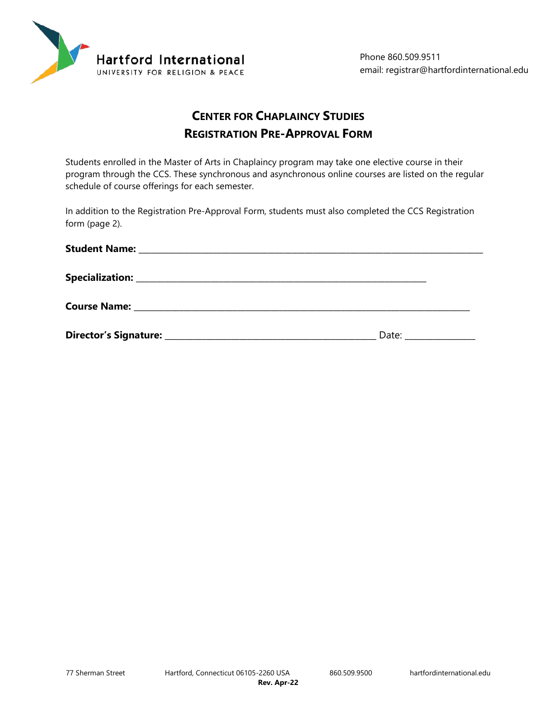

# **CENTER FOR CHAPLAINCY STUDIES REGISTRATION PRE-APPROVAL FORM**

Students enrolled in the Master of Arts in Chaplaincy program may take one elective course in their program through the CCS. These synchronous and asynchronous online courses are listed on the regular schedule of course offerings for each semester.

In addition to the Registration Pre-Approval Form, students must also completed the CCS Registration form (page 2).

| Date: $\sqrt{ }$ |  |
|------------------|--|